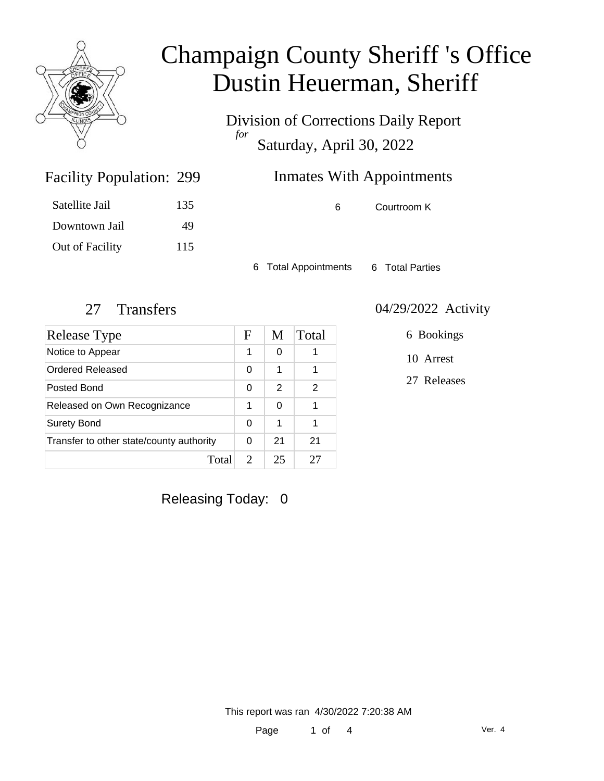

Division of Corrections Daily Report *for* Saturday, April 30, 2022

| 299 | <b>Inmates With Appointments</b> |
|-----|----------------------------------|
|     |                                  |

| Satellite Jail  | 135 |
|-----------------|-----|
| Downtown Jail   | 49  |
| Out of Facility | 115 |

Facility Population: 299

6 Courtroom K

6 Total Appointments 6 Total Parties

| Release Type                             | F                           | M  | Total |
|------------------------------------------|-----------------------------|----|-------|
| Notice to Appear                         | 1                           | 0  |       |
| Ordered Released                         | 0                           | 1  |       |
| Posted Bond                              | 0                           | 2  | 2     |
| Released on Own Recognizance             | 1                           | 0  |       |
| <b>Surety Bond</b>                       | 0                           | 1  | 1     |
| Transfer to other state/county authority |                             | 21 | 21    |
| Total                                    | $\mathcal{D}_{\mathcal{L}}$ | 25 |       |

### 27 Transfers 04/29/2022 Activity

6 Bookings

10 Arrest

27 Releases

Releasing Today: 0

This report was ran 4/30/2022 7:20:38 AM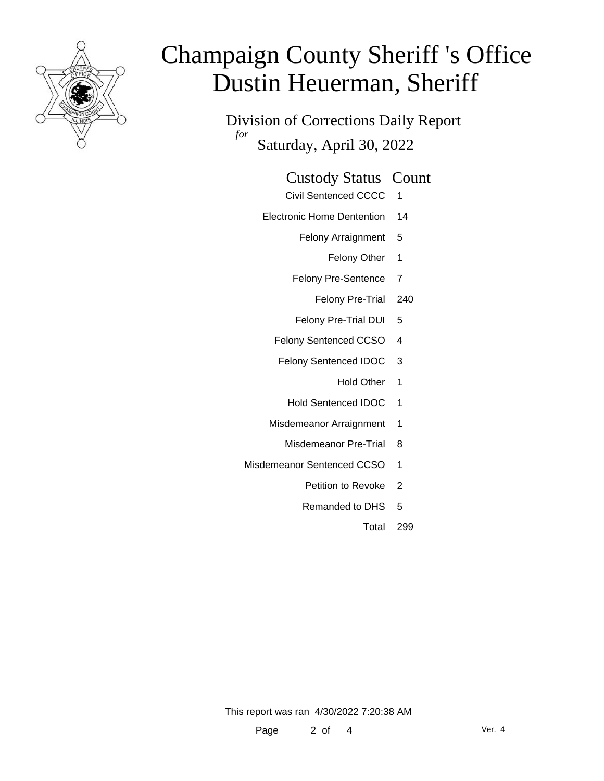

Division of Corrections Daily Report *for* Saturday, April 30, 2022

#### Custody Status Count

- Civil Sentenced CCCC 1
- Electronic Home Dentention 14
	- Felony Arraignment 5
		- Felony Other 1
	- Felony Pre-Sentence 7
		- Felony Pre-Trial 240
	- Felony Pre-Trial DUI 5
	- Felony Sentenced CCSO 4
	- Felony Sentenced IDOC 3
		- Hold Other 1
		- Hold Sentenced IDOC 1
	- Misdemeanor Arraignment 1
		- Misdemeanor Pre-Trial 8
- Misdemeanor Sentenced CCSO 1
	- Petition to Revoke 2
	- Remanded to DHS 5
		- Total 299

This report was ran 4/30/2022 7:20:38 AM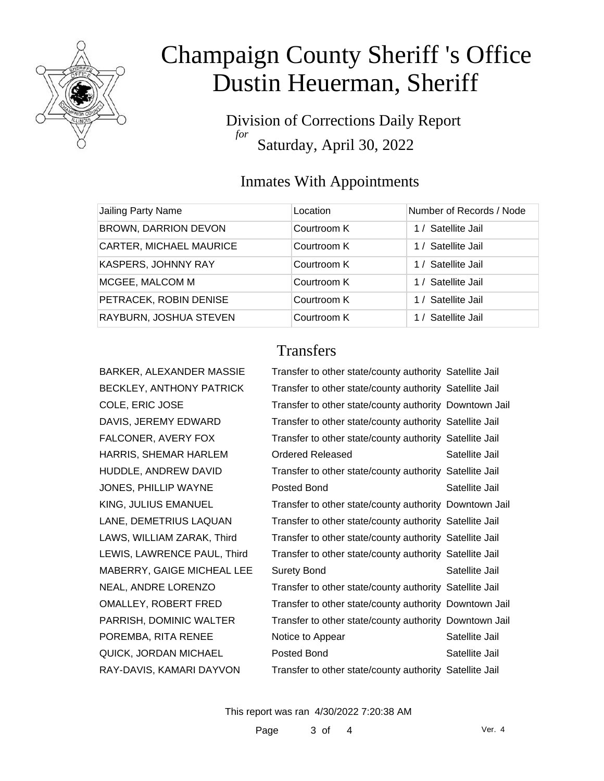

Division of Corrections Daily Report *for* Saturday, April 30, 2022

#### Inmates With Appointments

| Jailing Party Name             | Location    | Number of Records / Node |
|--------------------------------|-------------|--------------------------|
| BROWN, DARRION DEVON           | Courtroom K | 1 / Satellite Jail       |
| <b>CARTER, MICHAEL MAURICE</b> | Courtroom K | 1 / Satellite Jail       |
| KASPERS, JOHNNY RAY            | Courtroom K | 1 / Satellite Jail       |
| MCGEE, MALCOM M                | Courtroom K | 1 / Satellite Jail       |
| PETRACEK, ROBIN DENISE         | Courtroom K | 1 / Satellite Jail       |
| RAYBURN, JOSHUA STEVEN         | Courtroom K | 1 / Satellite Jail       |

BARKER, ALEXANDER MASSIE BECKLEY, ANTHONY PATRICK COLE, ERIC JOSE DAVIS, JEREMY EDWARD FALCONER, AVERY FOX HARRIS, SHEMAR HARLEM HUDDLE, ANDREW DAVID JONES, PHILLIP WAYNE KING, JULIUS EMANUEL LANE, DEMETRIUS LAQUAN LAWS, WILLIAM ZARAK, Third LEWIS, LAWRENCE PAUL, Third MABERRY, GAIGE MICHEAL LEE NEAL, ANDRE LORENZO OMALLEY, ROBERT FRED PARRISH, DOMINIC WALTER POREMBA, RITA RENEE QUICK, JORDAN MICHAEL RAY-DAVIS, KAMARI DAYVON

### **Transfers**

| Transfer to other state/county authority Satellite Jail |                |
|---------------------------------------------------------|----------------|
| Transfer to other state/county authority Satellite Jail |                |
| Transfer to other state/county authority Downtown Jail  |                |
| Transfer to other state/county authority Satellite Jail |                |
| Transfer to other state/county authority Satellite Jail |                |
| Ordered Released                                        | Satellite Jail |
| Transfer to other state/county authority Satellite Jail |                |
| Posted Bond                                             | Satellite Jail |
| Transfer to other state/county authority Downtown Jail  |                |
| Transfer to other state/county authority Satellite Jail |                |
| Transfer to other state/county authority Satellite Jail |                |
| Transfer to other state/county authority Satellite Jail |                |
| <b>Surety Bond</b>                                      | Satellite Jail |
| Transfer to other state/county authority Satellite Jail |                |
| Transfer to other state/county authority Downtown Jail  |                |
| Transfer to other state/county authority Downtown Jail  |                |
| Notice to Appear                                        | Satellite Jail |
| Posted Bond                                             | Satellite Jail |
| Transfer to other state/county authority Satellite Jail |                |

This report was ran 4/30/2022 7:20:38 AM